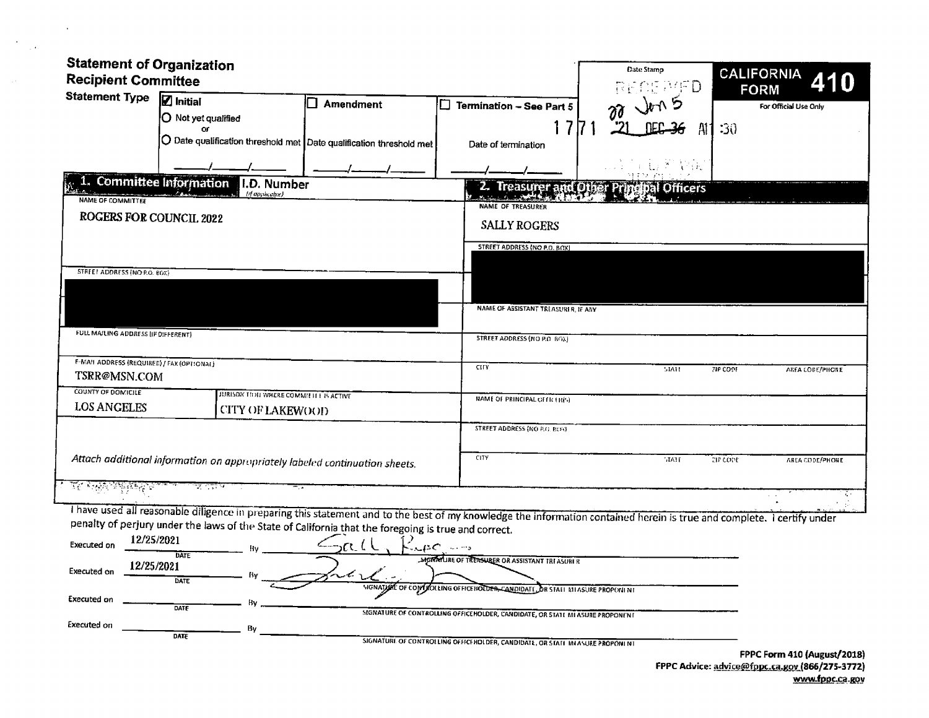| <b>Statement of Organization</b>           |                                                                                                                                                                                                                                                                                 |                |                                                                               | Date Stamp                                | <b>CALIFORNIA</b>                  |
|--------------------------------------------|---------------------------------------------------------------------------------------------------------------------------------------------------------------------------------------------------------------------------------------------------------------------------------|----------------|-------------------------------------------------------------------------------|-------------------------------------------|------------------------------------|
| <b>Recipient Committee</b>                 |                                                                                                                                                                                                                                                                                 |                |                                                                               | RECEATO                                   | <b>FORM</b>                        |
| <b>Statement Type</b>                      | $\mathbf Z$ Initial<br>O Not yet qualified                                                                                                                                                                                                                                      | ٦<br>Amendment | Termination - See Part 5                                                      |                                           | For Official Use Only              |
|                                            | or<br>$\bigcirc$ Date qualification threshold met $\big\vert$ Date qualification threshold met $\big\vert$                                                                                                                                                                      |                | Date of termination                                                           | Al                                        | -30                                |
|                                            |                                                                                                                                                                                                                                                                                 |                |                                                                               | 19 F.                                     |                                    |
|                                            | 1. Committee Information<br>I.D. Number<br>(if applicable)                                                                                                                                                                                                                      |                |                                                                               | 2. Treasurer and Other Principal Officers |                                    |
| NAME OF COMMITTEE                          |                                                                                                                                                                                                                                                                                 |                | <b>NAME OF TREASURER</b>                                                      |                                           |                                    |
| <b>ROGERS FOR COUNCIL 2022</b>             |                                                                                                                                                                                                                                                                                 |                | <b>SALLY ROGERS</b>                                                           |                                           |                                    |
|                                            |                                                                                                                                                                                                                                                                                 |                | STREET ADDRESS (NO P.O. BOX)                                                  |                                           |                                    |
| STREET ADDRESS (NO P.O. BOX)               |                                                                                                                                                                                                                                                                                 |                |                                                                               |                                           |                                    |
|                                            |                                                                                                                                                                                                                                                                                 |                |                                                                               |                                           |                                    |
|                                            |                                                                                                                                                                                                                                                                                 |                | NAME OF ASSISTANT TREASURER, IF ANY                                           |                                           |                                    |
|                                            |                                                                                                                                                                                                                                                                                 |                |                                                                               |                                           |                                    |
| FULL MAILING ADDRESS (IF DIFFERENT)        |                                                                                                                                                                                                                                                                                 |                | STREET ADDRESS (NO P.O. BGX)                                                  |                                           |                                    |
| F-MAIL ADDRESS (REQUIRED) / FAX (OPTIONAL) |                                                                                                                                                                                                                                                                                 |                | <b>CITY</b>                                                                   | STATE                                     | <b>ZIP CODE</b><br>AREA CODE/PHONE |
| TSRR@MSN.COM                               |                                                                                                                                                                                                                                                                                 |                |                                                                               |                                           |                                    |
| COUNTY OF DOMICILE<br><b>LOS ANGELES</b>   | JURISON TION WHERE COMMITTEE IS ACTIVE                                                                                                                                                                                                                                          |                | NAME OF PRINCIPAL OFFICER(S)                                                  |                                           |                                    |
|                                            | <b>CITY OF LAKEWOOD</b>                                                                                                                                                                                                                                                         |                | <b>STREET ADDRESS (NO F.G. ROS)</b>                                           |                                           |                                    |
|                                            |                                                                                                                                                                                                                                                                                 |                |                                                                               |                                           |                                    |
|                                            | Attach additional information on appropriately labeled continuation sheets.                                                                                                                                                                                                     |                | CITY                                                                          | <b>MATE</b>                               | <b>ELP CODE</b><br>AREA CODE/PHONE |
|                                            | ತ ಬ್ಲ                                                                                                                                                                                                                                                                           |                |                                                                               |                                           |                                    |
| <u>ই অনুসম্মূলক</u>                        |                                                                                                                                                                                                                                                                                 |                |                                                                               |                                           | ξ.                                 |
|                                            | I have used all reasonable diligence in preparing this statement and to the best of my knowledge the information contained herein is true and complete. I certify under<br>penalty of perjury under the laws of the State of California that the foregoing is true and correct. |                |                                                                               |                                           |                                    |
| Executed on                                | 12/25/2021                                                                                                                                                                                                                                                                      | ےدر ( ل        | $\mathcal{L} \mathcal{L} \mathcal{L}$ and $\mathcal{L} \mathcal{L}$           |                                           |                                    |
|                                            | DATE<br>12/25/2021                                                                                                                                                                                                                                                              |                | SIGNATURE OF TREASURER OR ASSISTANT TRI ASURI R                               |                                           |                                    |
| Executed on                                | DATE                                                                                                                                                                                                                                                                            |                |                                                                               |                                           |                                    |
| <b>Executed on</b>                         |                                                                                                                                                                                                                                                                                 |                | SIGNATION OF CONFIGURING OFFICE BOLDER CANDIDATE OR STAFF AT ASURE PROPONENT  |                                           |                                    |
|                                            | DATE                                                                                                                                                                                                                                                                            |                | SIGNATURE OF CONTROLLING OFFICEHOLDER, CANDIDATE, OR STATE MI ASURE PROPONENT |                                           |                                    |
| <b>Executed on</b>                         | By<br>DATE                                                                                                                                                                                                                                                                      |                | SIGNATURE OF CONTROLLING OFFICE HOLDER, CANDIDATE, OR STATE MEASURE PROPONENT |                                           |                                    |
|                                            |                                                                                                                                                                                                                                                                                 |                |                                                                               |                                           | FPPC Form 410 (August/2018)        |

 $\sim 10^{-11}$ 

 $\label{eq:2} \frac{1}{\sqrt{2}}\sum_{i=1}^n\frac{1}{\sqrt{2}}\sum_{i=1}^n\frac{1}{\sqrt{2}}\sum_{i=1}^n\frac{1}{\sqrt{2}}\sum_{i=1}^n\frac{1}{\sqrt{2}}\sum_{i=1}^n\frac{1}{\sqrt{2}}\sum_{i=1}^n\frac{1}{\sqrt{2}}\sum_{i=1}^n\frac{1}{\sqrt{2}}\sum_{i=1}^n\frac{1}{\sqrt{2}}\sum_{i=1}^n\frac{1}{\sqrt{2}}\sum_{i=1}^n\frac{1}{\sqrt{2}}\sum_{i=1}^n\frac{1$ 

 $\sim$ 

FPPC Form 410 (August/2018)<br>FPPC Advice: <u>advice@fppc.ca.gov</u> (866/275-3772) www.fppc.ca.gov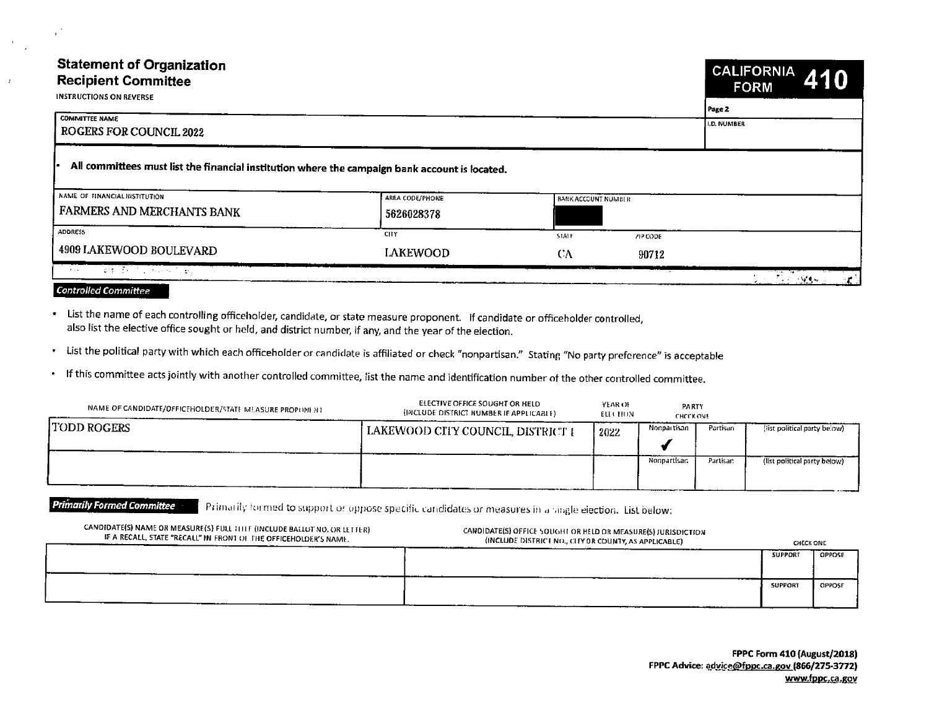# **Statement of Organization Recipient Committee**



| <b>INSTRUCTIONS ON REVERSE</b> |  |
|--------------------------------|--|
|                                |  |

 $\mathbf{L}$ 

 $\mathcal{L}$ 

 $\mathcal{L}$ 

|                                                                                                |                               |                            |                  | Page 2                           |  |
|------------------------------------------------------------------------------------------------|-------------------------------|----------------------------|------------------|----------------------------------|--|
| <b>COMMITTEE NAME</b><br><b>ROGERS FOR COUNCIL 2022</b>                                        | <b>I.D. NUMBER</b>            |                            |                  |                                  |  |
| All committees must list the financial institution where the campaign bank account is located. |                               |                            |                  |                                  |  |
| NAME OF FINANCIAL INSTITUTION.<br>FARMERS AND MERCHANTS BANK                                   | AREA CODE/PHONE<br>5626028378 | <b>BANK ACCOUNT NUMBER</b> |                  |                                  |  |
| <b>ADDRESS</b><br>4909 LAKEWOOD BOULEVARD                                                      | <b>CHY</b>                    | STALF.                     | ZIP CODE         |                                  |  |
| <b>TOTAL PRODUCTS</b><br><b>College</b>                                                        | <b>LAKEWOOD</b>               | CΛ                         | 90712<br>1, 2011 | er for and control<br>် ၁ မေ့ရေး |  |

### **Controlled Committee**

• List the name of each controlling officeholder, candidate, or state measure proponent. If candidate or officeholder controlled, also list the elective office sought or held, and district number, if any, and the year of the election.

· List the political party with which each officeholder or candidate is affiliated or check "nonpartisan." Stating "No party preference" is acceptable

• If this committee acts jointly with another controlled committee, list the name and identification number of the other controlled committee.

| NAME OF CANDIDATE/OFFICEHOLDER/STATE MEASURE PROPONENT | ELECTIVE OFFICE SOUGHT OR HELD<br>(INCLUDE DISTRICT NUMBER IF APPLICABLE) | YEAR OF<br>ELL CHUN | PARTY<br><b>CHECK ONE</b> |          |                              |  |
|--------------------------------------------------------|---------------------------------------------------------------------------|---------------------|---------------------------|----------|------------------------------|--|
| TODD ROGERS                                            | (LAKEWOOD CITY COUNCIL, DISTRICT E                                        | 2022                | Nongai tisan              | Partisan | (list political party below) |  |
|                                                        |                                                                           |                     | Nonpartisan               | Partisan | (list political party below) |  |

**Primarily Formed Committee** Primarily formed to support or oppose specific candidates or measures in a single election. List below:

| CANDIDATE(S) NAME OR MEASURE(S) FULL TITLE (INCLUDE BALLOT NO. OR LETTER)<br>IF A RECALL, STATE "RECALL" IN FRONT OF THE OFFICEHOLDER'S NAME. | CANDIDATE(S) OFFICE SOUGHT OR HELD OR MEASURE(S) JURISDICTION<br>(INCLUDE DISTRICT NO., CITY OR COUNTY, AS APPLICABLE) | CHECK ONE      |        |
|-----------------------------------------------------------------------------------------------------------------------------------------------|------------------------------------------------------------------------------------------------------------------------|----------------|--------|
|                                                                                                                                               |                                                                                                                        | <b>SUPPORT</b> | OPPOSE |
|                                                                                                                                               |                                                                                                                        | <b>SUPPORT</b> | OPPOSE |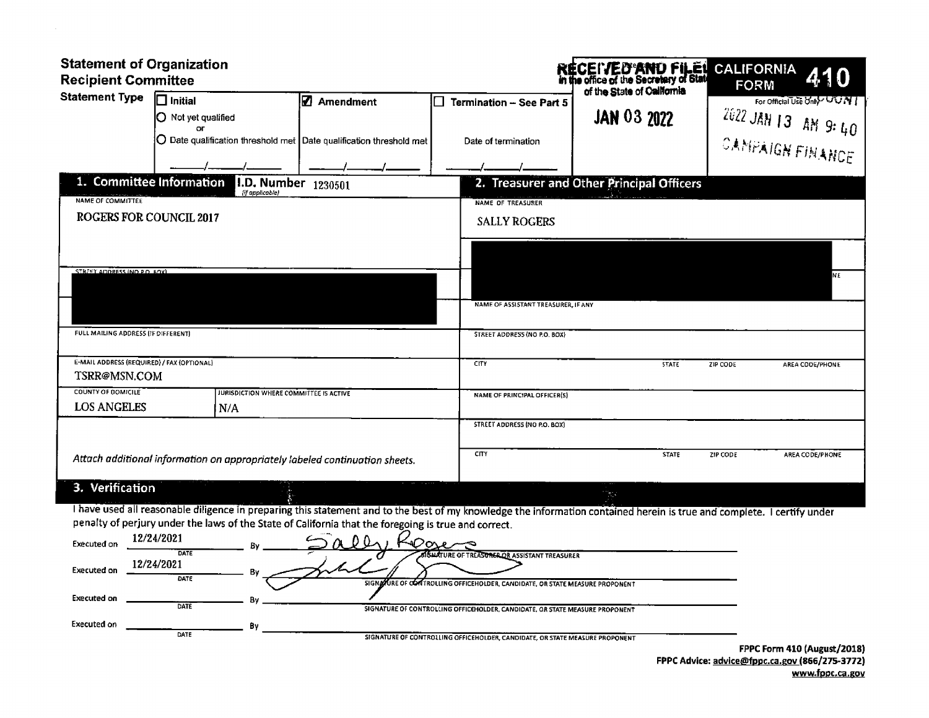| <b>Statement of Organization</b><br><b>Recipient Committee</b>                                                                                                                                                                                                                                                                                                                                                                                                                                                                  |                                           | <b>RECEIVED'AND FILET</b><br>in the office of the Secretary of Stat | <b>CALIFORNIA</b><br>410          |  |  |  |  |
|---------------------------------------------------------------------------------------------------------------------------------------------------------------------------------------------------------------------------------------------------------------------------------------------------------------------------------------------------------------------------------------------------------------------------------------------------------------------------------------------------------------------------------|-------------------------------------------|---------------------------------------------------------------------|-----------------------------------|--|--|--|--|
| Statement Type [ Initial<br><b>Ø</b> Amendment                                                                                                                                                                                                                                                                                                                                                                                                                                                                                  | of the State of California                |                                                                     | FORM<br>For Official Use Only UUN |  |  |  |  |
| O Not yet qualified<br>$\overline{\mathbf{C}}$                                                                                                                                                                                                                                                                                                                                                                                                                                                                                  |                                           | <b>JAN 03 2022</b>                                                  | $1 - 4022$ JAN 13 AM 9: 40        |  |  |  |  |
| O Date qualification threshold met Date qualification threshold met                                                                                                                                                                                                                                                                                                                                                                                                                                                             | Date of termination                       |                                                                     | I CANPAIGN FINANCE I              |  |  |  |  |
| $\overline{\phantom{a}}$ $\overline{\phantom{a}}$ $\overline{\phantom{a}}$ $\overline{\phantom{a}}$ $\overline{\phantom{a}}$ $\overline{\phantom{a}}$ $\overline{\phantom{a}}$ $\overline{\phantom{a}}$ $\overline{\phantom{a}}$ $\overline{\phantom{a}}$ $\overline{\phantom{a}}$ $\overline{\phantom{a}}$ $\overline{\phantom{a}}$ $\overline{\phantom{a}}$ $\overline{\phantom{a}}$ $\overline{\phantom{a}}$ $\overline{\phantom{a}}$ $\overline{\phantom{a}}$ $\overline{\$<br>1. Committee Information 1.D. Number 1230501 | 2. Treasurer and Other Principal Officers |                                                                     |                                   |  |  |  |  |
| NAME OF COMMITTEE                                                                                                                                                                                                                                                                                                                                                                                                                                                                                                               | NAME OF TREASURER                         |                                                                     |                                   |  |  |  |  |
| <b>ROGERS FOR COUNCIL 2017</b>                                                                                                                                                                                                                                                                                                                                                                                                                                                                                                  | <b>SALLY ROGERS</b>                       |                                                                     |                                   |  |  |  |  |
| STREET ADDRESS (NO PO ROY)                                                                                                                                                                                                                                                                                                                                                                                                                                                                                                      |                                           |                                                                     |                                   |  |  |  |  |
|                                                                                                                                                                                                                                                                                                                                                                                                                                                                                                                                 |                                           |                                                                     |                                   |  |  |  |  |
|                                                                                                                                                                                                                                                                                                                                                                                                                                                                                                                                 | NAME OF ASSISTANT TREASURER, IF ANY       |                                                                     |                                   |  |  |  |  |
| FULL MAILING ADDRESS (IF OIFFERENT)                                                                                                                                                                                                                                                                                                                                                                                                                                                                                             | STREET ADDRESS (NO P.O. BOX)              |                                                                     |                                   |  |  |  |  |
| E-MAIL ADDRESS (REQUIRED) / FAX (OPTIONAL)<br>TSRR@MSN.COM                                                                                                                                                                                                                                                                                                                                                                                                                                                                      |                                           | STATE ZIP CODE                                                      | AREA CODE/PHONE                   |  |  |  |  |
| COUNTY OF DOMICILE<br>JURISDICTION WHERE COMMITTEE IS ACTIVE                                                                                                                                                                                                                                                                                                                                                                                                                                                                    | NAME OF PRINCIPAL OFFICER(S)              |                                                                     |                                   |  |  |  |  |
| <b>LOS ANGELES</b><br>1 N                                                                                                                                                                                                                                                                                                                                                                                                                                                                                                       | STREET ADDRESS (NO P.O. BOX)              |                                                                     |                                   |  |  |  |  |
|                                                                                                                                                                                                                                                                                                                                                                                                                                                                                                                                 |                                           |                                                                     | STATE ZIP CODE AREA CODE/PHONE    |  |  |  |  |
| Attach additional information on appropriately labeled continuation sheets.                                                                                                                                                                                                                                                                                                                                                                                                                                                     |                                           |                                                                     |                                   |  |  |  |  |
| 3. Verification                                                                                                                                                                                                                                                                                                                                                                                                                                                                                                                 |                                           |                                                                     |                                   |  |  |  |  |
| I have used all reasonable diligence in preparing this statement and to the best of my knowledge the information contained herein is true and complete. I certify under<br>penalty of perjury under the laws of the State of California that the foregoing is true and correct.                                                                                                                                                                                                                                                 |                                           |                                                                     |                                   |  |  |  |  |
| Executed on $12/24/2021$                                                                                                                                                                                                                                                                                                                                                                                                                                                                                                        |                                           |                                                                     |                                   |  |  |  |  |
| Executed on $\frac{12/24/2021}{\text{part}}$ By                                                                                                                                                                                                                                                                                                                                                                                                                                                                                 |                                           | FEICEHOLDER CANDIDATE OR STATE MEASURE DOODONCNT                    |                                   |  |  |  |  |

| <b>Executed on</b> | DATE | 310119970RE OF CONTROLLING OFFICERULDER, CANDIDATE, OR STATE MEASURE PROPONENT<br>SIGNATURE OF CONTROLLING OFFICEHOLDER, CANDIDATE, OR STATE MEASURE PROPONENT |  |
|--------------------|------|----------------------------------------------------------------------------------------------------------------------------------------------------------------|--|
| Executed on        | DATE | SIGNATURE OF CONTROLLING OFFICEHOLDER, CANDIDATE, OR STATE MEASURE PROPONENT                                                                                   |  |

FPPC Form 410( August/ 2015) FPPC Advice: <u>advice@fppc.ca.gov (</u>866/275-3772) www.fppc.ca.gov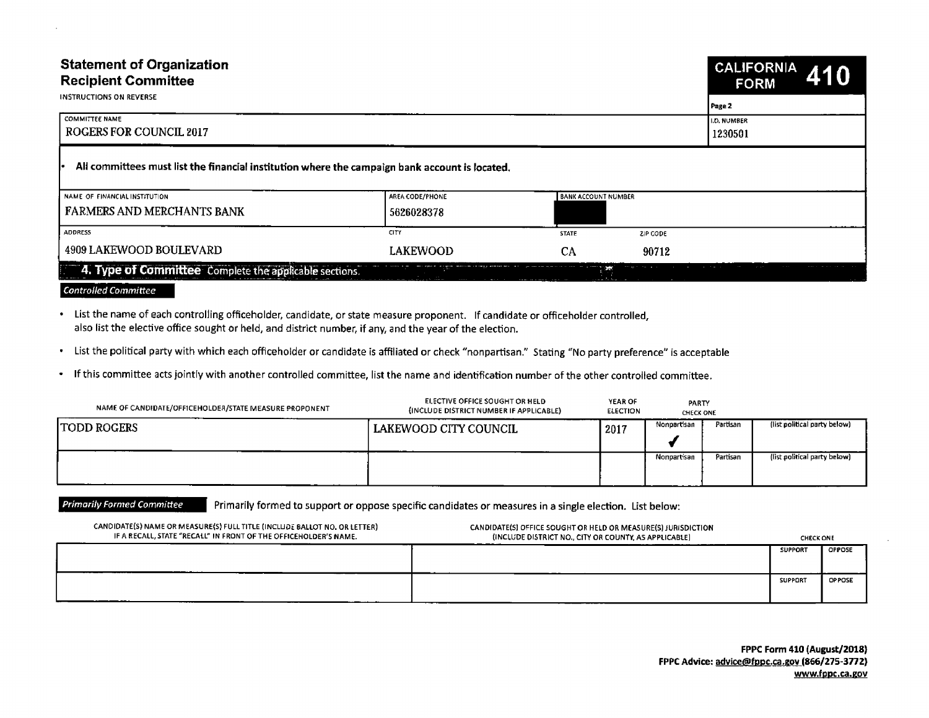| <b>Statement of Organization</b><br><b>Recipient Committee</b><br>INSTRUCTIONS ON REVERSE                                                                                                                                                   |                                                                                                         |                                                               |                           | CALIFORNIA 410<br><b>FORM</b>                           |
|---------------------------------------------------------------------------------------------------------------------------------------------------------------------------------------------------------------------------------------------|---------------------------------------------------------------------------------------------------------|---------------------------------------------------------------|---------------------------|---------------------------------------------------------|
| COMMITTEE NAME<br>  ROGERS FOR COUNCIL 2017                                                                                                                                                                                                 |                                                                                                         |                                                               | D. NUMBER<br>1230501      |                                                         |
| - All committees must list the financial institution where the campaign bank account is located.                                                                                                                                            |                                                                                                         |                                                               |                           |                                                         |
| NAME OF FINANCIAL INSTITUTION<br><b>FARMERS AND MERCHANTS BANK</b>                                                                                                                                                                          | AREA CODE/PHONE<br>5626028378                                                                           | ANK ACCOUNT NUMBER                                            |                           |                                                         |
| ADDRESS                                                                                                                                                                                                                                     |                                                                                                         | <b>STATE</b>                                                  | ZIP CODE                  |                                                         |
| 4909 LAKEWOOD BOULEVARD<br>4. Type of Committee Complete the applicable sections.                                                                                                                                                           | <b>LAKEWOOD</b><br><u>i marko eta partizioa montre arte</u>                                             |                                                               | 90712                     |                                                         |
| <b>Controlled Committee</b>                                                                                                                                                                                                                 |                                                                                                         |                                                               |                           |                                                         |
| List the name of each controlling officeholder, candidate, or state measure proponent. If candidate or officeholder controlled,<br>also list the elective office sought or held, and district number, if any, and the year of the election. |                                                                                                         |                                                               |                           |                                                         |
| · List the political party with which each officeholder or candidate is affiliated or check "nonpartisan." Stating "No party preference" is acceptable                                                                                      |                                                                                                         |                                                               |                           |                                                         |
| If this committee acts jointly with another controlled committee, list the name and identification number of the other controlled committee.                                                                                                |                                                                                                         |                                                               |                           |                                                         |
| NAME OF CANDIDATE/OFFICEHOLDER/STATE MEASURE PROPONENT                                                                                                                                                                                      | ELECTIVE OFFICE SOUGHT OR HELD<br>(INCLUDE DISTRICT NUMBER IF APPLICABLE)                               | YEAR OF<br>ELECTION                                           | PARTY<br><b>CHECK ONE</b> |                                                         |
| TODD ROGERS                                                                                                                                                                                                                                 | LAKEWOOD CITY COUNCIL                                                                                   |                                                               |                           | 19017 Nonpartisan Partisan (list political party below) |
|                                                                                                                                                                                                                                             |                                                                                                         |                                                               |                           | Nonpartisan Partisan (list political party below)       |
| <b>Primarily Formed Committee</b>                                                                                                                                                                                                           |                                                                                                         |                                                               |                           |                                                         |
| CANDIDATE(S) NAME OR MEASURE(S) FULL TITLE (INCLUDE BALLOT NO, OR LETTER)                                                                                                                                                                   | Primarily formed to support or oppose specific candidates or measures in a single election. List below: | CANDIDATE(S) OFFICE SOUGHT OR HELD OR MEASURE(S) JURISDICTION |                           |                                                         |
| IF A RECALL, STATE "RECALL" IN FRONT OF THE OFFICEHOLDER'S NAME.                                                                                                                                                                            |                                                                                                         | (INCLUDE DISTRICT NO., CITY OR COUNTY, AS APPLICABLE)         |                           | <b>CHECK ONE</b><br>SUPPORT   OPPOSE                    |
|                                                                                                                                                                                                                                             |                                                                                                         |                                                               |                           | SUPPORT OPPOSE                                          |

| NAME OF CANDIDATE/OFFICEHOLDER/STATE MEASURE PROPONENT | ELECTIVE OFFICE SOUGHT OR HELD<br>(INCLUDE DISTRICT NUMBER IF APPLICABLE) | YEAR OF<br><b>ELECTION</b> | PARTY<br><b>CHECK ONE</b> |          |                              |  |
|--------------------------------------------------------|---------------------------------------------------------------------------|----------------------------|---------------------------|----------|------------------------------|--|
| <b>ITODD ROGERS</b>                                    | LAKEWOOD CITY COUNCIL                                                     | 2017                       | Partisan<br>Nonpartisan   |          | (list political party below) |  |
|                                                        |                                                                           |                            | Nonpartisan               | Partisan | (list political party below) |  |

| CANDIDATE(S) NAME OR MEASURE(S) FULL TITLE (INCLUDE BALLOT NO, OR LETTER)<br>IF A RECALL, STATE "RECALL" IN FRONT OF THE OFFICEHOLDER'S NAME. | CANDIDATE(S) OFFICE SOUGHT OR HELD OR MEASURE(S) JURISDICTION<br>(INCLUDE DISTRICT NO., CITY OR COUNTY, AS APPLICABLE) | <b>CHECK ONE</b> |               |
|-----------------------------------------------------------------------------------------------------------------------------------------------|------------------------------------------------------------------------------------------------------------------------|------------------|---------------|
|                                                                                                                                               |                                                                                                                        | <b>SUPPORT</b>   | <b>OPPOSE</b> |
|                                                                                                                                               |                                                                                                                        | <b>SUPPORT</b>   | <b>OPPOSE</b> |

FPPC Form 410 (August/2018) FPPC Advice: advice@fppc.ca.gov (866/275-3772) www.fppc.ca.gov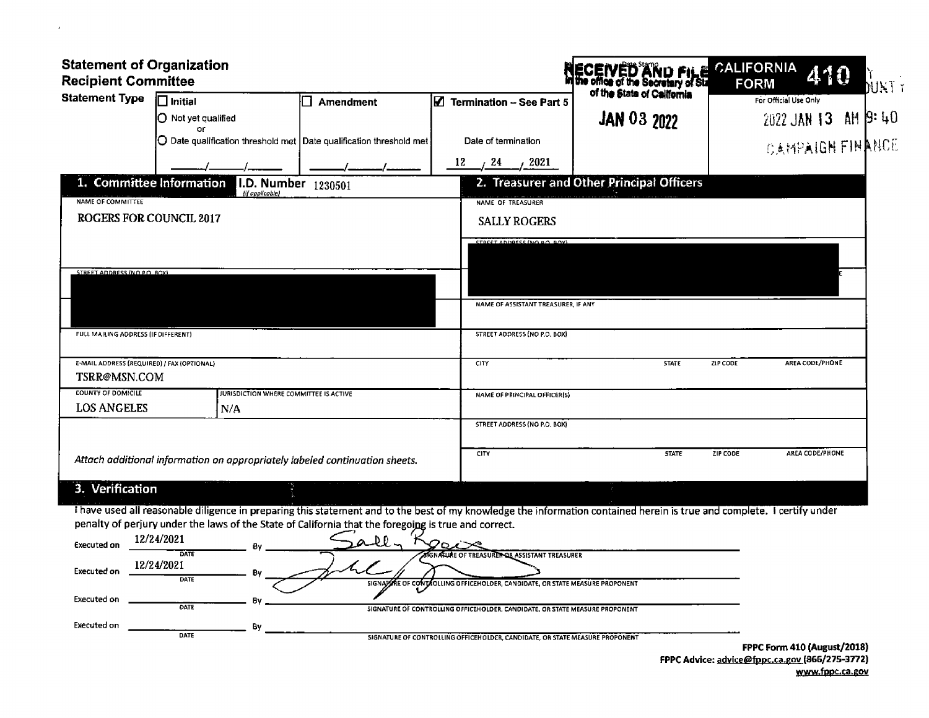| Statement of Organization<br>Recipient Committee                                                                                                                                                                                                                                |                                                                           | <b>RECEIVED AND FILE</b>                  | CALIFORNIA<br>FORM<br>410 |  |
|---------------------------------------------------------------------------------------------------------------------------------------------------------------------------------------------------------------------------------------------------------------------------------|---------------------------------------------------------------------------|-------------------------------------------|---------------------------|--|
| Statement Type Initial                                                                                                                                                                                                                                                          | $\boxed{ \boxed{\mathbb{Z}}$ Termination – See Part 5<br>$\Box$ Amendment |                                           | For Official Use Only     |  |
| O Not yet qualified<br>or <b>or</b><br>O Date qualification threshold met Date qualification threshold met                                                                                                                                                                      | Date of termination                                                       | <b>JAN 03 2022</b>                        | $2022$ JAN 13 AM $9:40$   |  |
|                                                                                                                                                                                                                                                                                 | $\frac{12}{2}$ / $\frac{24}{2021}$                                        |                                           | <b>CAMPAIGH FINANCE</b>   |  |
| 1. Committee Information I.D. Number $1230501$<br>[if applicable]<br>NAME OF COMMITTEE                                                                                                                                                                                          | NAME OF TREASURER                                                         | 2. Treasurer and Other Principal Officers |                           |  |
| <b>ROGERS FOR COUNCIL 2017</b>                                                                                                                                                                                                                                                  | <b>SALLY ROGERS</b>                                                       |                                           |                           |  |
|                                                                                                                                                                                                                                                                                 | STOCET ANDRESS (NO RO ROY                                                 |                                           |                           |  |
| STREET ADDRESS (NO.P.O. ROX)                                                                                                                                                                                                                                                    |                                                                           |                                           |                           |  |
|                                                                                                                                                                                                                                                                                 | NAME OF ASSISTANT TREASURER, IF ANY                                       |                                           |                           |  |
| <b>FULL MAILING ADDRESS (IF DIFFERENT)</b>                                                                                                                                                                                                                                      | STREET ADDRESS (NO P.O. BOX)                                              |                                           |                           |  |
| E-MAIL ADDRESS (REQUIRED) / FAX (OPTIONAL)<br>TSRR@MSN.COM                                                                                                                                                                                                                      | CTY                                                                       |                                           | ZIP CODE AREA CODE/PHONE  |  |
| <b>COUNTY OF DOMICILE</b><br><b>THE TERM OF STATE COMMITTEE IS ACTIVE</b><br><b>LOS ANGELES</b><br>I N/A                                                                                                                                                                        | NAME OF PRINCIPAL OFFICER(S)                                              |                                           |                           |  |
|                                                                                                                                                                                                                                                                                 | STREET ADDRESS (NO P.O. BOX)                                              |                                           |                           |  |
| Attach additional information on appropriately labeled continuation sheets.                                                                                                                                                                                                     |                                                                           | STATE ZIP CODE                            | AREA CODE/PHONE           |  |
| 3. Verification                                                                                                                                                                                                                                                                 |                                                                           |                                           |                           |  |
| I have used all reasonable diligence in preparing this statement and to the best of my knowledge the information contained herein is true and complete. I certify under<br>penalty of perjury under the laws of the State of California that the foregoing is true and correct. |                                                                           |                                           |                           |  |
| Executed on $\frac{12/24/2021}{\text{dATE}}$ By $\frac{6y}{\text{d}x} = \frac{6y}{\text{d}x}$                                                                                                                                                                                   |                                                                           |                                           |                           |  |

 $\mathcal{A}$ 

| Executed on | -----------        | <u>a</u> uri<br>ハンマ                                                          |                                                                              |
|-------------|--------------------|------------------------------------------------------------------------------|------------------------------------------------------------------------------|
| Executed on | DATE<br>12/24/2021 | <b>SIGNATURE OF TREASURET OR ASSISTANT TREASURER</b>                         |                                                                              |
| Executed on | DATE               | SIGNAZIRE OF CONTROLLING OFFICEHOLDER, CANDIDATE, OR STATE MEASURE PROPONENT |                                                                              |
|             | <b>DATE</b>        | SIGNATURE OF CONTROLLING OFFICEHOLDER, CANDIDATE, OR STATE MEASURE PROPONENT |                                                                              |
| Executed on | <b>DATE</b>        | SIGNATURE OF CONTROLLING OFFICEHOLDER, CANDIDATE, OR STATE MEASURE PROPONENT |                                                                              |
|             |                    |                                                                              | FPPC Form 410 (August/2018<br>EDDC Advisor advise@frome.co.gov (REE/272-2772 |

FPPC Advice: advice@fppc.ca.gov (866/275-3772) www.fppc.ca.gov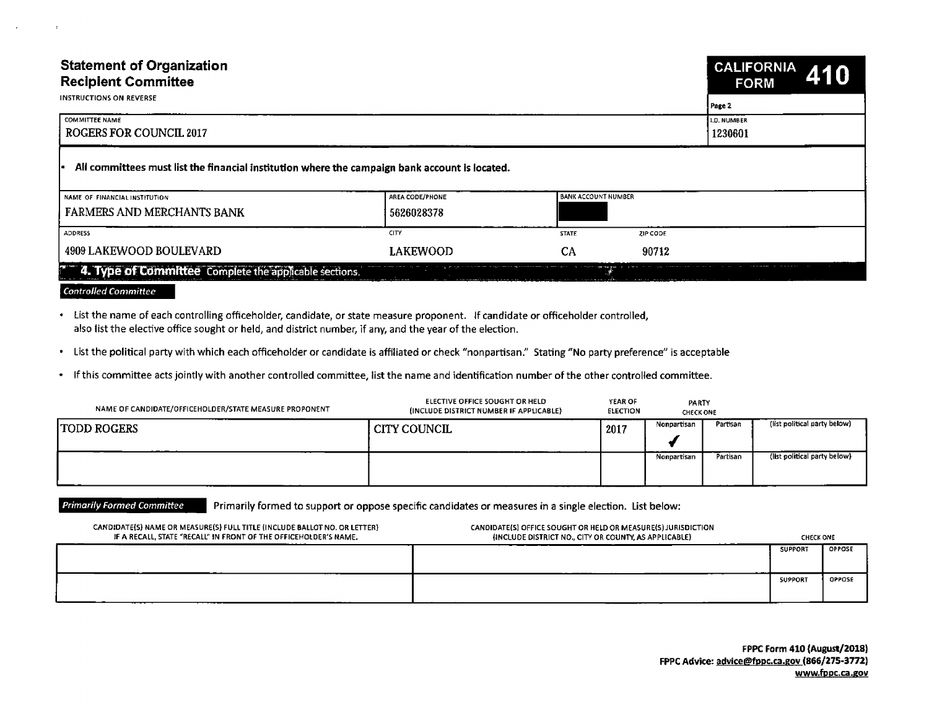| <b>Statement of Organization</b><br><b>Recipient Committee</b><br><b>INSTRUCTIONS ON REVERSE</b>                                                                                                                                            |                                                                                                         |                                                                                                                        |                           | CALIFORNIA 410<br><b>FORM</b>                     |
|---------------------------------------------------------------------------------------------------------------------------------------------------------------------------------------------------------------------------------------------|---------------------------------------------------------------------------------------------------------|------------------------------------------------------------------------------------------------------------------------|---------------------------|---------------------------------------------------|
| COMMITTEE NAME<br>ROGERS FOR COUNCIL 2017                                                                                                                                                                                                   |                                                                                                         |                                                                                                                        | 1.D. NUMBER<br>1230601    |                                                   |
| All committees must list the financial institution where the campaign bank account is located.                                                                                                                                              |                                                                                                         |                                                                                                                        |                           |                                                   |
| NAME OF FINANCIAL INSTITUTION<br><b>FARMERS AND MERCHANTS BANK</b>                                                                                                                                                                          | AREA CODE/PHONE<br>5626028378                                                                           | ANK ACCOUNT NUMBE                                                                                                      |                           |                                                   |
| ADDRESS<br>4909 LAKEWOOD BOULEVARD                                                                                                                                                                                                          | <b>LAKEWOOD</b>                                                                                         | <b>CTATE</b>                                                                                                           | ZIP CODE<br>90712         |                                                   |
| <sup>2</sup> 4. Type of Committee Complete the applicable sections.                                                                                                                                                                         |                                                                                                         |                                                                                                                        |                           |                                                   |
| <b>Controlled Committee</b>                                                                                                                                                                                                                 |                                                                                                         |                                                                                                                        |                           |                                                   |
| List the name of each controlling officeholder, candidate, or state measure proponent. If candidate or officeholder controlled,<br>also list the elective office sought or held, and district number, if any, and the year of the election. |                                                                                                         |                                                                                                                        |                           |                                                   |
| List the political party with which each officeholder or candidate is affiliated or check "nonpartisan." Stating "No party preference" is acceptable                                                                                        |                                                                                                         |                                                                                                                        |                           |                                                   |
| If this committee acts jointly with another controlled committee, list the name and identification number of the other controlled committee.                                                                                                |                                                                                                         |                                                                                                                        |                           |                                                   |
| NAME OF CANDIDATE/OFFICEHOLDER/STATE MEASURE PROPONENT                                                                                                                                                                                      | ELECTIVE OFFICE SOUGHT OR HELD<br>(INCLUDE DISTRICT NUMBER IF APPLICABLE)                               | YEAR OF<br>ELECTION                                                                                                    | PARTY<br><b>CHECK ONE</b> |                                                   |
| <b>TODD ROGERS</b>                                                                                                                                                                                                                          | CITY COUNCIL                                                                                            | l 2017 –                                                                                                               |                           | Nonpartisan Partisan (list political party below) |
|                                                                                                                                                                                                                                             |                                                                                                         |                                                                                                                        |                           | Nonpartisan Partisan (list political party below) |
|                                                                                                                                                                                                                                             |                                                                                                         |                                                                                                                        |                           |                                                   |
| <b>Primarily Formed Committee</b>                                                                                                                                                                                                           | Primarily formed to support or oppose specific candidates or measures in a single election. List below: |                                                                                                                        |                           |                                                   |
| CANDIDATE(S) NAME OR MEASURE(S) FULL TITLE (INCLUDE BALLOT NO. OR LETTER)<br>IF A RECALL, STATE "RECALL" IN FRONT OF THE OFFICEHOLDER'S NAME.                                                                                               |                                                                                                         | CANDIDATE(S) OFFICE SOUGHT OR HELD OR MEASURE(S) JURISDICTION<br>(INCLUDE DISTRICT NO., CITY OR COUNTY, AS APPLICABLE) |                           | <b>CHECK ONE</b><br>SUPPORT OPPOSE                |
|                                                                                                                                                                                                                                             |                                                                                                         |                                                                                                                        |                           |                                                   |
|                                                                                                                                                                                                                                             |                                                                                                         |                                                                                                                        |                           | SUPPORT OPPOSE                                    |

## **Controlled Committee**

| NAME OF CANDIDATE/OFFICEHOLDER/STATE MEASURE PROPONENT | ELECTIVE OFFICE SOUGHT OR HELD<br>(INCLUDE DISTRICT NUMBER IF APPLICABLE) | YEAR OF<br>ELECTION | PARTY<br><b>CHECK ONE</b> |          |                              |
|--------------------------------------------------------|---------------------------------------------------------------------------|---------------------|---------------------------|----------|------------------------------|
| <b>TODD ROGERS</b>                                     | CITY COUNCIL                                                              | 2017                | Nonpartisan               | Partisan | (list political party below) |
| _____                                                  |                                                                           |                     | Nonpartisan               | Partisan | (list political party below) |

| CANDIDATE(S) NAME OR MEASURE(S) FULL TITLE (INCLUDE BALLOT NO. OR LETTER)<br>IF A RECALL, STATE "RECALL" IN FRONT OF THE OFFICEHOLDER'S NAME. | CANDIDATE(S) OFFICE SOUGHT OR HELD OR MEASURE(S) JURISDICTION<br>(INCLUDE DISTRICT NO., CITY OR COUNTY, AS APPLICABLE) | <b>CHECK ONE</b> |               |
|-----------------------------------------------------------------------------------------------------------------------------------------------|------------------------------------------------------------------------------------------------------------------------|------------------|---------------|
|                                                                                                                                               |                                                                                                                        | <b>SUPPORT</b>   | <b>OPPOSE</b> |
|                                                                                                                                               |                                                                                                                        | SUPPORT          | <b>OPPOSE</b> |

FPPC Form 410 (August/2018) FPPC Advice: advice@fppc.ca.gov (866/275-3772) www.fppc.ca.gov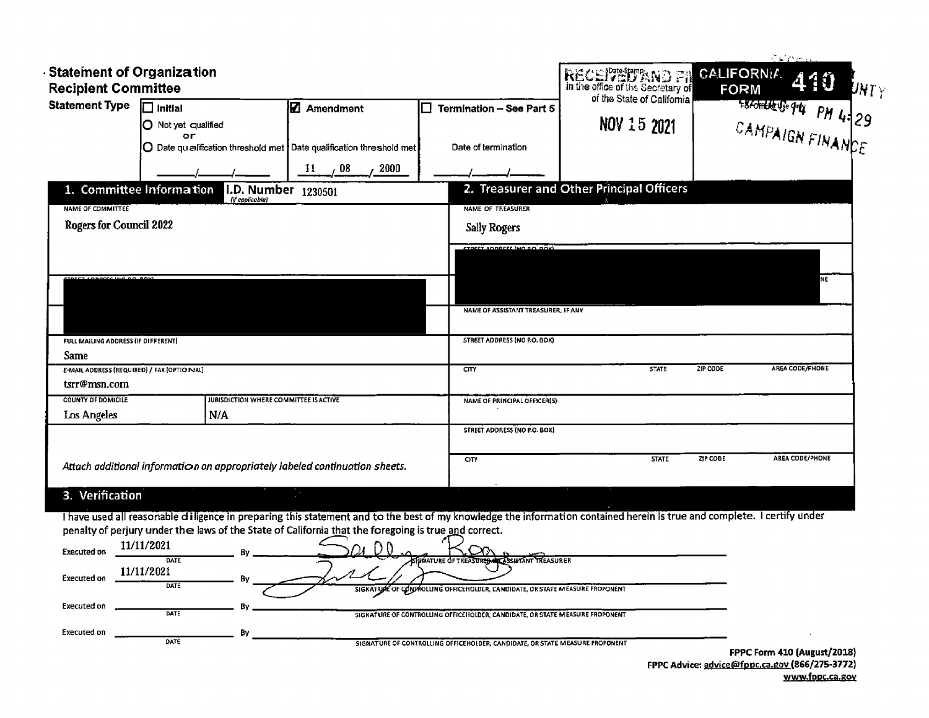| <b>RECEIVED AND FIL</b><br>In the office of the Secretary of<br><b>Recipient Committee</b><br><b>FORM</b><br>of the State of California<br>FRAMPAIGN FINANCE<br><b>Statement Type</b><br>$\Box$ Initial<br><b>Z</b> Amendment<br>Termination - See Part 5<br>IO.<br>NOV 15 2021<br>$\bigcirc$ Not yet qualified<br>٥r<br>O Date qualification threshold met Date qualification threshold met<br>Date of termination<br>$\frac{1}{2}$ 08<br>11<br>2000<br>2. Treasurer and Other Principal Officers<br>1. Committee Information<br>I.D. Number 1230501<br>(if applicable)<br>NAME OF TREASURER<br><b>NAME OF COMMITTEE</b><br><b>Rogers for Council 2022</b><br><b>Sally Rogers</b><br><b>CTOCCT ADDRESS INO ROLDOVI</b><br><b>NE</b><br>CZ LODACCC (HO ROLDOV)<br>NAME OF ASSISTANT TREASURER, IF ANY<br>STREET ADDRESS (NO P.O. BOX)<br>FULL MAILING ADDRESS (IF DIFFERENT)<br>Same<br>AREA CODE/PHONE<br><b>STATE</b><br>ZIP CODE<br>E-MAIL ADDRESS (REQUIRED) / FAX (OPTIO NAL)<br>CITY |
|--------------------------------------------------------------------------------------------------------------------------------------------------------------------------------------------------------------------------------------------------------------------------------------------------------------------------------------------------------------------------------------------------------------------------------------------------------------------------------------------------------------------------------------------------------------------------------------------------------------------------------------------------------------------------------------------------------------------------------------------------------------------------------------------------------------------------------------------------------------------------------------------------------------------------------------------------------------------------------------------|
|                                                                                                                                                                                                                                                                                                                                                                                                                                                                                                                                                                                                                                                                                                                                                                                                                                                                                                                                                                                            |
|                                                                                                                                                                                                                                                                                                                                                                                                                                                                                                                                                                                                                                                                                                                                                                                                                                                                                                                                                                                            |
|                                                                                                                                                                                                                                                                                                                                                                                                                                                                                                                                                                                                                                                                                                                                                                                                                                                                                                                                                                                            |
|                                                                                                                                                                                                                                                                                                                                                                                                                                                                                                                                                                                                                                                                                                                                                                                                                                                                                                                                                                                            |
|                                                                                                                                                                                                                                                                                                                                                                                                                                                                                                                                                                                                                                                                                                                                                                                                                                                                                                                                                                                            |
|                                                                                                                                                                                                                                                                                                                                                                                                                                                                                                                                                                                                                                                                                                                                                                                                                                                                                                                                                                                            |
|                                                                                                                                                                                                                                                                                                                                                                                                                                                                                                                                                                                                                                                                                                                                                                                                                                                                                                                                                                                            |
|                                                                                                                                                                                                                                                                                                                                                                                                                                                                                                                                                                                                                                                                                                                                                                                                                                                                                                                                                                                            |
|                                                                                                                                                                                                                                                                                                                                                                                                                                                                                                                                                                                                                                                                                                                                                                                                                                                                                                                                                                                            |
|                                                                                                                                                                                                                                                                                                                                                                                                                                                                                                                                                                                                                                                                                                                                                                                                                                                                                                                                                                                            |
|                                                                                                                                                                                                                                                                                                                                                                                                                                                                                                                                                                                                                                                                                                                                                                                                                                                                                                                                                                                            |
|                                                                                                                                                                                                                                                                                                                                                                                                                                                                                                                                                                                                                                                                                                                                                                                                                                                                                                                                                                                            |
|                                                                                                                                                                                                                                                                                                                                                                                                                                                                                                                                                                                                                                                                                                                                                                                                                                                                                                                                                                                            |
|                                                                                                                                                                                                                                                                                                                                                                                                                                                                                                                                                                                                                                                                                                                                                                                                                                                                                                                                                                                            |
| tsrr@msn.com                                                                                                                                                                                                                                                                                                                                                                                                                                                                                                                                                                                                                                                                                                                                                                                                                                                                                                                                                                               |
| <b>COUNTY OF DOMICILE</b><br>JURISDICTION WHERE COMMITTEE IS ACTIVE<br><b>NAME OF PRINCIPAL OFFICER(S)</b>                                                                                                                                                                                                                                                                                                                                                                                                                                                                                                                                                                                                                                                                                                                                                                                                                                                                                 |
| N/A<br>Los Angeles                                                                                                                                                                                                                                                                                                                                                                                                                                                                                                                                                                                                                                                                                                                                                                                                                                                                                                                                                                         |
| <b>STREET ADDRESS (NO P.O. BOX)</b>                                                                                                                                                                                                                                                                                                                                                                                                                                                                                                                                                                                                                                                                                                                                                                                                                                                                                                                                                        |
|                                                                                                                                                                                                                                                                                                                                                                                                                                                                                                                                                                                                                                                                                                                                                                                                                                                                                                                                                                                            |
| Attach additional information on appropriately labeled continuation sheets.                                                                                                                                                                                                                                                                                                                                                                                                                                                                                                                                                                                                                                                                                                                                                                                                                                                                                                                |
|                                                                                                                                                                                                                                                                                                                                                                                                                                                                                                                                                                                                                                                                                                                                                                                                                                                                                                                                                                                            |
| ZIP CODE<br>AREA CODE/PHONE<br><b>STATE</b><br>CITY<br>3. Verification                                                                                                                                                                                                                                                                                                                                                                                                                                                                                                                                                                                                                                                                                                                                                                                                                                                                                                                     |

Executed on  $\frac{1}{\sqrt{1-\frac{1}{2}}\sqrt{1-\frac{1}{2}}\sqrt{1-\frac{1}{2}}\sqrt{1-\frac{1}{2}}}}$  By

SIGNATURE OF CONTROLLING OFFICEHOLDER, CANDIDATE, OR STATE MEASURE PROPONENT

FPPC Form 410( August/ 2018) FPPC Advice: <u>advice@fppc.ca.gov (</u>866/275-3772) www.fppc.ca.gov

 $\mathcal{A}$